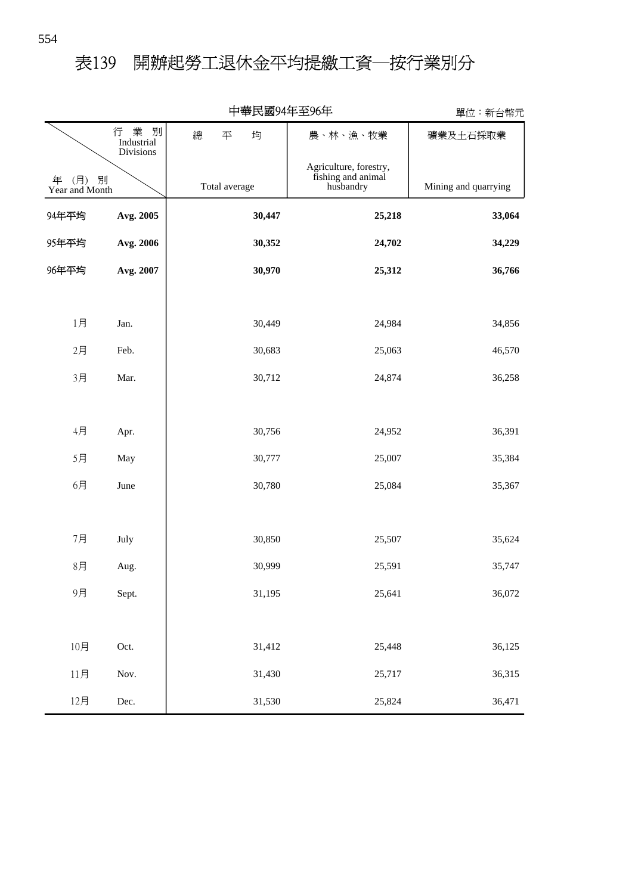# 表139 開辦起勞工退休金平均提繳工資─按行業別分

|                            |                                               | 〒芈氏図フチ艹土フレ艹   |                                                           | 里位・新台幣兀              |
|----------------------------|-----------------------------------------------|---------------|-----------------------------------------------------------|----------------------|
|                            | 業<br>別<br>行<br>Industrial<br><b>Divisions</b> | 總<br>平<br>均   | 農、林、漁、牧業                                                  | 礦業及土石採取業             |
| (月)<br>年<br>Year and Month | 別                                             | Total average | Agriculture, forestry,<br>fishing and animal<br>husbandry | Mining and quarrying |
| 94年平均                      | Avg. 2005                                     | 30,447        | 25,218                                                    | 33,064               |
| 95年平均                      | Avg. 2006                                     | 30,352        | 24,702                                                    | 34,229               |
| 96年平均                      | Avg. 2007                                     | 30,970        | 25,312                                                    | 36,766               |
|                            |                                               |               |                                                           |                      |
| 1月                         | Jan.                                          | 30,449        | 24,984                                                    | 34,856               |
| 2月                         | Feb.                                          | 30,683        | 25,063                                                    | 46,570               |
| 3月                         | Mar.                                          | 30,712        | 24,874                                                    | 36,258               |
|                            |                                               |               |                                                           |                      |
| 4月                         | Apr.                                          | 30,756        | 24,952                                                    | 36,391               |
| 5月                         | May                                           | 30,777        | 25,007                                                    | 35,384               |
| 6月                         | June                                          | 30,780        | 25,084                                                    | 35,367               |
|                            |                                               |               |                                                           |                      |
| 7月                         | July                                          | 30,850        | 25,507                                                    | 35,624               |
| 8月                         | Aug.                                          | 30,999        | 25,591                                                    | 35,747               |
| 9月                         | Sept.                                         | 31,195        | 25,641                                                    | 36,072               |
|                            |                                               |               |                                                           |                      |
| 10月                        | Oct.                                          | 31,412        | 25,448                                                    | 36,125               |
| 11月                        | Nov.                                          | 31,430        | 25,717                                                    | 36,315               |
| 12月                        | Dec.                                          | 31,530        | 25,824                                                    | 36,471               |

### 中華民國94年至96年

單位:新台幣元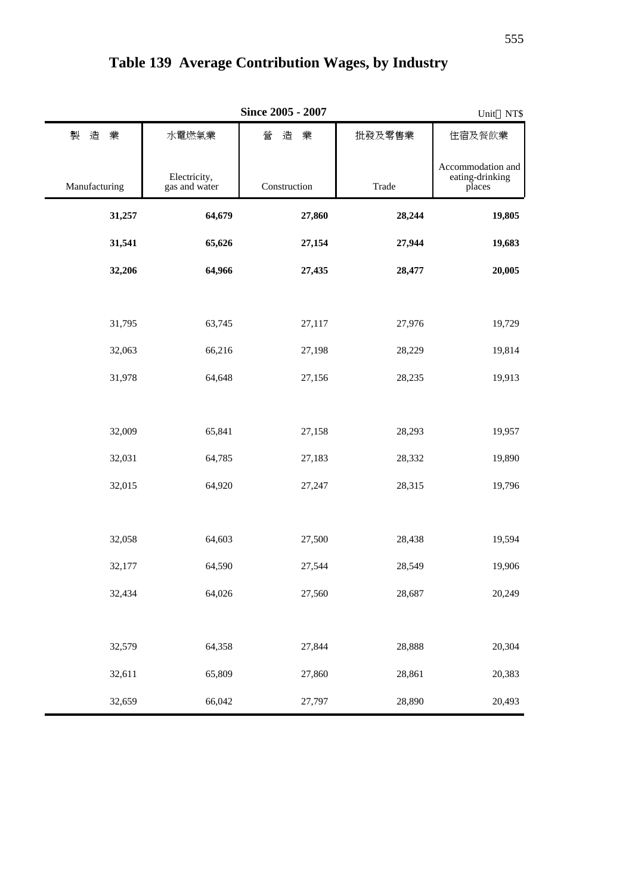|               | Unit NT\$                     |              |        |                                                |
|---------------|-------------------------------|--------------|--------|------------------------------------------------|
| 製<br>造<br>業   | 水電燃氣業                         | 營<br>造<br>業  | 批發及零售業 | 住宿及餐飲業                                         |
| Manufacturing | Electricity,<br>gas and water | Construction | Trade  | Accommodation and<br>eating-drinking<br>places |
| 31,257        | 64,679                        | 27,860       | 28,244 | 19,805                                         |
| 31,541        | 65,626                        | 27,154       | 27,944 | 19,683                                         |
| 32,206        | 64,966                        | 27,435       | 28,477 | 20,005                                         |
|               |                               |              |        |                                                |
| 31,795        | 63,745                        | 27,117       | 27,976 | 19,729                                         |
| 32,063        | 66,216                        | 27,198       | 28,229 | 19,814                                         |
| 31,978        | 64,648                        | 27,156       | 28,235 | 19,913                                         |
|               |                               |              |        |                                                |
| 32,009        | 65,841                        | 27,158       | 28,293 | 19,957                                         |
| 32,031        | 64,785                        | 27,183       | 28,332 | 19,890                                         |
| 32,015        | 64,920                        | 27,247       | 28,315 | 19,796                                         |
|               |                               |              |        |                                                |
| 32,058        | 64,603                        | 27,500       | 28,438 | 19,594                                         |
| 32,177        | 64,590                        | 27,544       | 28,549 | 19,906                                         |
| 32,434        | 64,026                        | 27,560       | 28,687 | 20,249                                         |
|               |                               |              |        |                                                |
| 32,579        | 64,358                        | 27,844       | 28,888 | 20,304                                         |
| 32,611        | 65,809                        | 27,860       | 28,861 | 20,383                                         |
| 32,659        | 66,042                        | 27,797       | 28,890 | 20,493                                         |

## **Table 139 Average Contribution Wages, by Industry**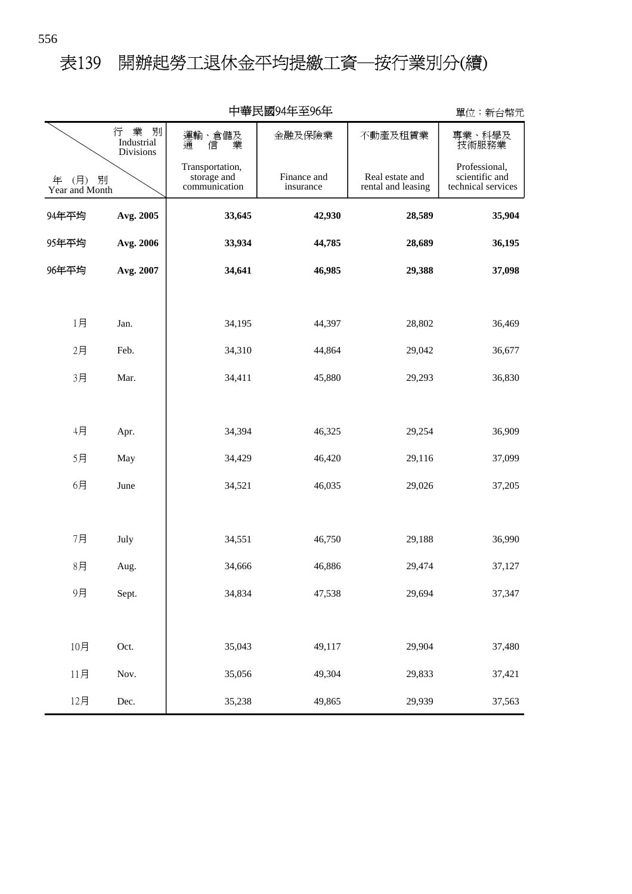# 表139 開辦起勞工退休金平均提繳工資─按行業別分(續)

| 中華民國94年至96年                  |                                     |                                                 |                          |                                       | 單位:新台幣元                                               |
|------------------------------|-------------------------------------|-------------------------------------------------|--------------------------|---------------------------------------|-------------------------------------------------------|
|                              | 行 業<br>別<br>Industrial<br>Divisions | 運輸、倉儲及<br>通 信 業<br>信                            | 金融及保險業                   | 不動產及租賃業                               | 專業、科學及<br>技術服務業                                       |
| (月) 別<br>年<br>Year and Month |                                     | Transportation,<br>storage and<br>communication | Finance and<br>insurance | Real estate and<br>rental and leasing | Professional,<br>scientific and<br>technical services |
| 94年平均                        | Avg. 2005                           | 33,645                                          | 42,930                   | 28,589                                | 35,904                                                |
| 95年平均                        | Avg. 2006                           | 33,934                                          | 44,785                   | 28,689                                | 36,195                                                |
| 96年平均                        | Avg. 2007                           | 34,641                                          | 46,985                   | 29,388                                | 37,098                                                |
|                              |                                     |                                                 |                          |                                       |                                                       |
| 1月                           | Jan.                                | 34,195                                          | 44,397                   | 28,802                                | 36,469                                                |
| 2月                           | Feb.                                | 34,310                                          | 44,864                   | 29,042                                | 36,677                                                |
| 3月                           | Mar.                                | 34,411                                          | 45,880                   | 29,293                                | 36,830                                                |
|                              |                                     |                                                 |                          |                                       |                                                       |
| 4月                           | Apr.                                | 34,394                                          | 46,325                   | 29,254                                | 36,909                                                |
| 5月                           | May                                 | 34,429                                          | 46,420                   | 29,116                                | 37,099                                                |
| 6月                           | June                                | 34,521                                          | 46,035                   | 29,026                                | 37,205                                                |
|                              |                                     |                                                 |                          |                                       |                                                       |
| 7月                           | July                                | 34,551                                          | 46,750                   | 29,188                                | 36,990                                                |
| 8月                           | Aug.                                | 34,666                                          | 46,886                   | 29,474                                | 37,127                                                |
| 9月                           | Sept.                               | 34,834                                          | 47,538                   | 29,694                                | 37,347                                                |
|                              |                                     |                                                 |                          |                                       |                                                       |
| 10月                          | Oct.                                | 35,043                                          | 49,117                   | 29,904                                | 37,480                                                |
| 11月                          | Nov.                                | 35,056                                          | 49,304                   | 29,833                                | 37,421                                                |
| 12月                          | Dec.                                | 35,238                                          | 49,865                   | 29,939                                | 37,563                                                |

中華民國94年至96年